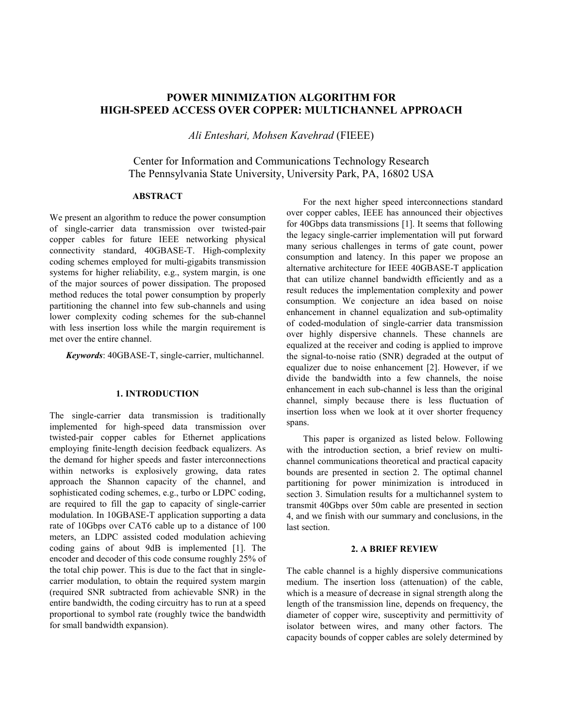# **POWER MINIMIZATION ALGORITHM FOR HIGH-SPEED ACCESS OVER COPPER: MULTICHANNEL APPROACH**

*Ali Enteshari, Mohsen Kavehrad* (FIEEE)

Center for Information and Communications Technology Research The Pennsylvania State University, University Park, PA, 16802 USA

### **ABSTRACT**

We present an algorithm to reduce the power consumption of single-carrier data transmission over twisted-pair copper cables for future IEEE networking physical connectivity standard, 40GBASE-T. High-complexity coding schemes employed for multi-gigabits transmission systems for higher reliability, e.g., system margin, is one of the major sources of power dissipation. The proposed method reduces the total power consumption by properly partitioning the channel into few sub-channels and using lower complexity coding schemes for the sub-channel with less insertion loss while the margin requirement is met over the entire channel.

*Keywords*: 40GBASE-T, single-carrier, multichannel.

# **1. INTRODUCTION**

The single-carrier data transmission is traditionally implemented for high-speed data transmission over twisted-pair copper cables for Ethernet applications employing finite-length decision feedback equalizers. As the demand for higher speeds and faster interconnections within networks is explosively growing, data rates approach the Shannon capacity of the channel, and sophisticated coding schemes, e.g., turbo or LDPC coding, are required to fill the gap to capacity of single-carrier modulation. In 10GBASE-T application supporting a data rate of 10Gbps over CAT6 cable up to a distance of 100 meters, an LDPC assisted coded modulation achieving coding gains of about 9dB is implemented [1]. The encoder and decoder of this code consume roughly 25% of the total chip power. This is due to the fact that in singlecarrier modulation, to obtain the required system margin (required SNR subtracted from achievable SNR) in the entire bandwidth, the coding circuitry has to run at a speed proportional to symbol rate (roughly twice the bandwidth for small bandwidth expansion).

For the next higher speed interconnections standard over copper cables, IEEE has announced their objectives for 40Gbps data transmissions [1]. It seems that following the legacy single-carrier implementation will put forward many serious challenges in terms of gate count, power consumption and latency. In this paper we propose an alternative architecture for IEEE 40GBASE-T application that can utilize channel bandwidth efficiently and as a result reduces the implementation complexity and power consumption. We conjecture an idea based on noise enhancement in channel equalization and sub-optimality of coded-modulation of single-carrier data transmission over highly dispersive channels. These channels are equalized at the receiver and coding is applied to improve the signal-to-noise ratio (SNR) degraded at the output of equalizer due to noise enhancement [2]. However, if we divide the bandwidth into a few channels, the noise enhancement in each sub-channel is less than the original channel, simply because there is less fluctuation of insertion loss when we look at it over shorter frequency spans.

This paper is organized as listed below. Following with the introduction section, a brief review on multichannel communications theoretical and practical capacity bounds are presented in section 2. The optimal channel partitioning for power minimization is introduced in section 3. Simulation results for a multichannel system to transmit 40Gbps over 50m cable are presented in section 4, and we finish with our summary and conclusions, in the last section.

#### **2. A BRIEF REVIEW**

The cable channel is a highly dispersive communications medium. The insertion loss (attenuation) of the cable, which is a measure of decrease in signal strength along the length of the transmission line, depends on frequency, the diameter of copper wire, susceptivity and permittivity of isolator between wires, and many other factors. The capacity bounds of copper cables are solely determined by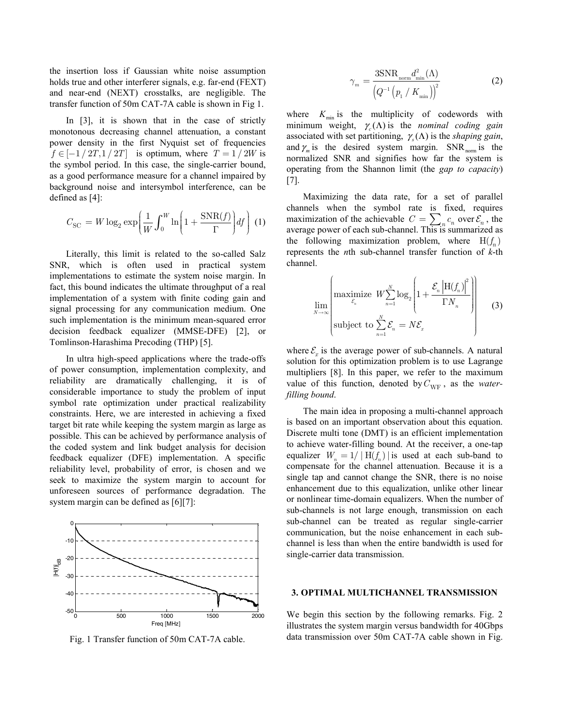the insertion loss if Gaussian white noise assumption holds true and other interferer signals, e.g. far-end (FEXT) and near-end (NEXT) crosstalks, are negligible. The transfer function of 50m CAT-7A cable is shown in Fig 1.

In [3], it is shown that in the case of strictly monotonous decreasing channel attenuation, a constant power density in the first Nyquist set of frequencies  $f \in [-1/2T, 1/2T]$  is optimum, where  $T = 1/2W$  is the symbol period. In this case, the single-carrier bound, as a good performance measure for a channel impaired by background noise and intersymbol interference, can be defined as [4]:

$$
C_{\rm SC} = W \log_2 \exp\left(\frac{1}{W} \int_0^W \ln\left(1 + \frac{\text{SNR}(f)}{\Gamma}\right) df\right) \tag{1}
$$

Literally, this limit is related to the so-called Salz SNR, which is often used in practical system implementations to estimate the system noise margin. In fact, this bound indicates the ultimate throughput of a real implementation of a system with finite coding gain and signal processing for any communication medium. One such implementation is the minimum mean-squared error decision feedback equalizer (MMSE-DFE) [2], or Tomlinson-Harashima Precoding (THP) [5].

In ultra high-speed applications where the trade-offs of power consumption, implementation complexity, and reliability are dramatically challenging, it is of considerable importance to study the problem of input symbol rate optimization under practical realizability constraints. Here, we are interested in achieving a fixed target bit rate while keeping the system margin as large as possible. This can be achieved by performance analysis of the coded system and link budget analysis for decision feedback equalizer (DFE) implementation. A specific reliability level, probability of error, is chosen and we seek to maximize the system margin to account for unforeseen sources of performance degradation. The system margin can be defined as [6][7]:



Fig. 1 Transfer function of 50m CAT-7A cable.

$$
\gamma_m = \frac{3\text{SNR}_{\text{norm}}d_{\text{min}}^2(\Lambda)}{\left(Q^{-1}\left(p_1 \;/\; K_{\text{min}}\right)\right)^2} \tag{2}
$$

where  $K_{\min}$  is the multiplicity of codewords with minimum weight,  $\gamma_c(\Lambda)$  is the *nominal coding gain* associated with set partitioning,  $\gamma_s(\Lambda)$  is the *shaping gain*, and  $\gamma_m$  is the desired system margin. SNR <sub>norm</sub> is the normalized SNR and signifies how far the system is operating from the Shannon limit (the *gap to capacity*) [7].

Maximizing the data rate, for a set of parallel channels when the symbol rate is fixed, requires maximization of the achievable  $C = \sum_{n} c_n$  over  $\mathcal{E}_n$ , the average power of each sub-channel. This is summarized as the following maximization problem, where  $H(f_n)$ represents the *n*th sub-channel transfer function of *k*-th channel.

$$
\lim_{N \to \infty} \left( \underset{S_n}{\text{maximize}} \ W \sum_{n=1}^N \log_2 \left( 1 + \frac{\mathcal{E}_n \left| \mathcal{H}(f_n) \right|^2}{\Gamma N_n} \right) \right) \tag{3}
$$

where  $\mathcal{E}_r$  is the average power of sub-channels. A natural solution for this optimization problem is to use Lagrange multipliers [8]. In this paper, we refer to the maximum value of this function, denoted by  $C_{\text{WF}}$ , as the *waterfilling bound*.

The main idea in proposing a multi-channel approach is based on an important observation about this equation. Discrete multi tone (DMT) is an efficient implementation to achieve water-filling bound. At the receiver, a one-tap equalizer  $W_a = 1/ | H(f_a) |$  is used at each sub-band to compensate for the channel attenuation. Because it is a single tap and cannot change the SNR, there is no noise enhancement due to this equalization, unlike other linear or nonlinear time-domain equalizers. When the number of sub-channels is not large enough, transmission on each sub-channel can be treated as regular single-carrier communication, but the noise enhancement in each subchannel is less than when the entire bandwidth is used for single-carrier data transmission.

#### **3. OPTIMAL MULTICHANNEL TRANSMISSION**

We begin this section by the following remarks. Fig. 2 illustrates the system margin versus bandwidth for 40Gbps data transmission over 50m CAT-7A cable shown in Fig.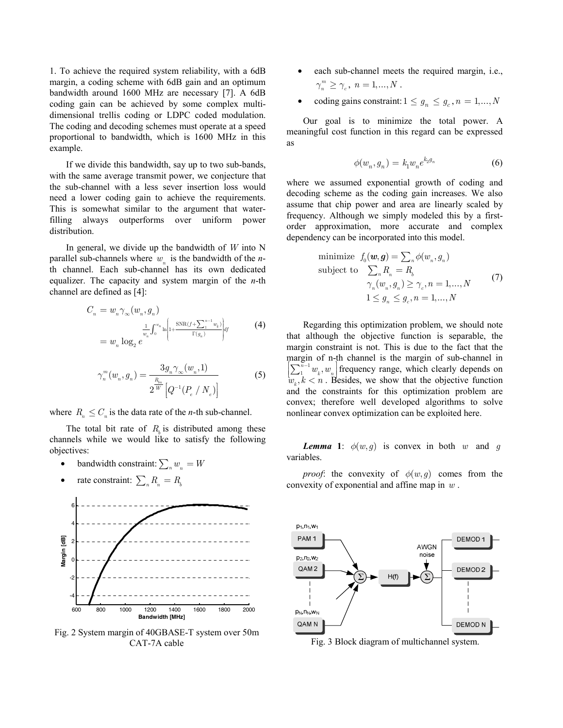1. To achieve the required system reliability, with a 6dB margin, a coding scheme with 6dB gain and an optimum bandwidth around 1600 MHz are necessary [7]. A 6dB coding gain can be achieved by some complex multidimensional trellis coding or LDPC coded modulation. The coding and decoding schemes must operate at a speed proportional to bandwidth, which is 1600 MHz in this example.

If we divide this bandwidth, say up to two sub-bands, with the same average transmit power, we conjecture that the sub-channel with a less sever insertion loss would need a lower coding gain to achieve the requirements. This is somewhat similar to the argument that waterfilling always outperforms over uniform power distribution.

In general, we divide up the bandwidth of *W* into N parallel sub-channels where  $w_n$  is the bandwidth of the *n*th channel. Each sub-channel has its own dedicated equalizer. The capacity and system margin of the *n*-th channel are defined as [4]:

$$
C_n = w_n \gamma_\infty(w_n, g_n)
$$
  
= 
$$
\frac{\frac{1}{w_n} \int_0^{w_n} \ln \left| 1 + \frac{\text{SNR}(f + \sum_1^{n-1} w_k)}{\Gamma(g_n)} \right|}{dy}
$$
 (4)

$$
\gamma_n^m(w_n, g_n) = \frac{3g_n \gamma_\infty(w_n, 1)}{2^{\frac{R_{bn}}{W}} \left[ Q^{-1}(P_e / N_e) \right]}
$$
(5)

where  $R_n \leq C_n$  is the data rate of the *n*-th sub-channel.

The total bit rate of  $R<sub>b</sub>$  is distributed among these channels while we would like to satisfy the following objectives:

- bandwidth constraint:  $\sum_{n} w_{n} = W$
- rate constraint:  $\sum_{n} R_{n} = R_{h}$



Fig. 2 System margin of 40GBASE-T system over 50m

- each sub-channel meets the required margin, i.e.,  $\gamma_n^m \geq \gamma_c^m$ ,  $n = 1, ..., N$ .
- coding gains constraint:  $1 \leq g_n \leq g_c$ ,  $n = 1,...,N$

Our goal is to minimize the total power. A meaningful cost function in this regard can be expressed as

$$
\phi(w_n, g_n) = k_1 w_n e^{k_2 g_n} \tag{6}
$$

where we assumed exponential growth of coding and decoding scheme as the coding gain increases. We also assume that chip power and area are linearly scaled by frequency. Although we simply modeled this by a firstorder approximation, more accurate and complex dependency can be incorporated into this model.

minimize 
$$
f_0(\boldsymbol{w}, \boldsymbol{g}) = \sum_n \phi(w_n, g_n)
$$
  
\nsubject to  $\sum_n R_n = R_b$   
\n $\gamma_n(w_n, g_n) \ge \gamma_c, n = 1, ..., N$   
\n $1 \le g_n \le g_c, n = 1, ..., N$  (7)

Regarding this optimization problem, we should note that although the objective function is separable, the margin constraint is not. This is due to the fact that the margin of n-th channel is the margin of sub-channel in <sup>1</sup>  $\left[\sum_{1}^{n-1} w_k, w_n\right]$  frequency range, which clearly depends on  $w_k, k < n$ . Besides, we show that the objective function and the constraints for this optimization problem are convex; therefore well developed algorithms to solve nonlinear convex optimization can be exploited here.

*Lemma* 1:  $\phi(w, q)$  is convex in both *w* and *g* variables.

*proof*: the convexity of  $\phi(w, g)$  comes from the convexity of exponential and affine map in *w* .



CAT-7A cable Fig. 3 Block diagram of multichannel system.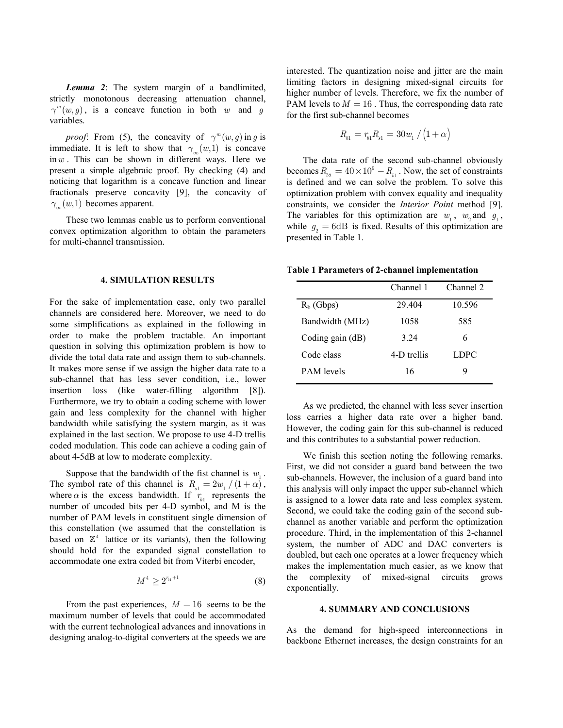*Lemma 2*: The system margin of a bandlimited, strictly monotonous decreasing attenuation channel,  $\gamma^{m}(w, q)$ , is a concave function in both *w* and *q* variables.

*proof*: From (5), the concavity of  $\gamma^{m}(w, g)$  in *g* is immediate. It is left to show that  $\gamma_{\infty}(w,1)$  is concave in*w* . This can be shown in different ways. Here we present a simple algebraic proof. By checking (4) and noticing that logarithm is a concave function and linear fractionals preserve concavity [9], the concavity of  $\gamma_{\infty}(w,1)$  becomes apparent.

These two lemmas enable us to perform conventional convex optimization algorithm to obtain the parameters for multi-channel transmission.

#### **4. SIMULATION RESULTS**

For the sake of implementation ease, only two parallel channels are considered here. Moreover, we need to do some simplifications as explained in the following in order to make the problem tractable. An important question in solving this optimization problem is how to divide the total data rate and assign them to sub-channels. It makes more sense if we assign the higher data rate to a sub-channel that has less sever condition, i.e., lower insertion loss (like water-filling algorithm [8]). Furthermore, we try to obtain a coding scheme with lower gain and less complexity for the channel with higher bandwidth while satisfying the system margin, as it was explained in the last section. We propose to use 4-D trellis coded modulation. This code can achieve a coding gain of about 4-5dB at low to moderate complexity.

Suppose that the bandwidth of the fist channel is  $w_1$ . The symbol rate of this channel is  $R_{s_1} = 2w_1/(1 + \alpha)$ , where  $\alpha$  is the excess bandwidth. If  $r_{\lambda}$  represents the number of uncoded bits per 4-D symbol, and M is the number of PAM levels in constituent single dimension of this constellation (we assumed that the constellation is based on  $\mathbb{Z}^4$  lattice or its variants), then the following should hold for the expanded signal constellation to accommodate one extra coded bit from Viterbi encoder,

$$
M^4 \ge 2^{r_{b1}+1} \tag{8}
$$

From the past experiences,  $M = 16$  seems to be the maximum number of levels that could be accommodated with the current technological advances and innovations in designing analog-to-digital converters at the speeds we are

interested. The quantization noise and jitter are the main limiting factors in designing mixed-signal circuits for higher number of levels. Therefore, we fix the number of PAM levels to  $M = 16$ . Thus, the corresponding data rate for the first sub-channel becomes

$$
R_{b1} = r_{b1}R_{s1} = 30w_1 / (1 + \alpha)
$$

The data rate of the second sub-channel obviously becomes  $R_{b2} = 40 \times 10^9 - R_{b1}$ . Now, the set of constraints is defined and we can solve the problem. To solve this optimization problem with convex equality and inequality constraints, we consider the *Interior Point* method [9]. The variables for this optimization are  $w_1$ ,  $w_2$  and  $q_1$ , while  $g<sub>2</sub> = 6dB$  is fixed. Results of this optimization are presented in Table 1.

#### **Table 1 Parameters of 2-channel implementation**

|                   | Channel 1   | Channel 2 |
|-------------------|-------------|-----------|
| $R_h$ (Gbps)      | 29.404      | 10.596    |
| Bandwidth (MHz)   | 1058        | 585       |
| Coding gain (dB)  | 3 2 4       | 6         |
| Code class        | 4-D trellis | LDPC      |
| <b>PAM</b> levels | 16          | 9         |
|                   |             |           |

As we predicted, the channel with less sever insertion loss carries a higher data rate over a higher band. However, the coding gain for this sub-channel is reduced and this contributes to a substantial power reduction.

We finish this section noting the following remarks. First, we did not consider a guard band between the two sub-channels. However, the inclusion of a guard band into this analysis will only impact the upper sub-channel which is assigned to a lower data rate and less complex system. Second, we could take the coding gain of the second subchannel as another variable and perform the optimization procedure. Third, in the implementation of this 2-channel system, the number of ADC and DAC converters is doubled, but each one operates at a lower frequency which makes the implementation much easier, as we know that the complexity of mixed-signal circuits grows exponentially.

#### **4. SUMMARY AND CONCLUSIONS**

As the demand for high-speed interconnections in backbone Ethernet increases, the design constraints for an